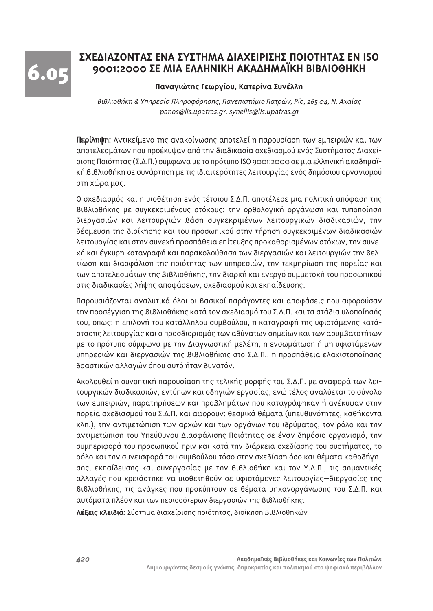6.05

# ΣΧΕΛΙΔΖΟΝΤΑΣ ΕΝΔ ΣΥΣΤΗΜΑ ΛΙΔΧΕΙΡΙΣΗΣ ΠΟΙΟΤΗΤΑΣ ΕΝ ISO 9001:2000 ΣΕ ΜΙΑ ΕΛΛΗΝΙΚΗ ΑΚΑΔΗΜΑΪΚΗ ΒΙΒΛΙΟΘΗΚΗ

#### **Παναγιώτης Γεωργίου, Κατερίνα Συνέλλη**

Bιβλιοθήκη & Υπηρεσία Πληροφόρησης, Πανεπιστήμιο Πατρών, Ρίο, 265 04, Ν. Αχαΐας panos@lis.upatras.gr, synellis@lis.upatras.gr

Περίληψη: Αντικείμενο της ανακοίνωσης αποτελεί η παρουσίαση των εμπειριών και των αποτελεσμάτων που προέκυψαν από την διαδικασία σχεδιασμού ενός Συστήματος Διαχείρισης Ποιότητας (Σ.Δ.Π.) σύμφωνα με το πρότυπο ISO 9001:2000 σε μια ελληνική ακαδημαϊκή Βιβλιοθήκη σε συνάρτηση με τις ιδιαιτερότητες λειτουργίας ενός δημόσιου οργανισμού στη χώρα μας.

Ο σχεδιασμός και η υιοθέτηση ενός τέτοιου Σ.Δ.Π. αποτέλεσε μια πολιτική απόφαση της Bιβλιοθήκης με συγκεκριμένους στόχους: την ορθολογική οργάνωση και τυποποίηση διεργασιών και λειτουργιών βάση συγκεκριμένων λειτουργικών διαδικασιών, την δέσμευση της διοίκησης και του προσωπικού στην τήρηση συγκεκριμένων διαδικασιών λειτουργίας και στην συνεχή προσπάθεια επίτευξης προκαθορισμένων στόχων, την συνεxή και έγκυρη καταγραφή και παρακολούθηση των διεργασιών και λειτουργιών την Βελτίωση και διασφάλιση της ποιότητας των υπηρεσιών, την τεκμηρίωση της πορείας και των αποτελεσμάτων της βιβλιοθήκης, την διαρκή και ενεργό συμμετοχή του προσωπικού στις διαδικασίες λήψης αποφάσεων, σχεδιασμού και εκπαίδευσης.

Παρουσιάζονται αναλυτικά όλοι οι Βασικοί παράγοντες και αποφάσεις που αφορούσαν την προσέγγιση της βιβλιοθήκης κατά τον σχεδιασμό του Σ.Δ.Π. και τα στάδια υλοποίησής του, όπως: η επιλογή του κατάλληλου συμβούλου, η καταγραφή της υφιστάμενης κατάστασης λειτουργίας και ο προσδιορισμός των αδύνατων σημείων και των ασυμβατοτήτων με το πρότυπο σύμφωνα με την Διαγνωστική μελέτη, η ενσωμάτωση ή μη υφιστάμενων υπηρεσιών και διεργασιών της Βιβλιοθήκης στο Σ.Δ.Π., η προσπάθεια ελαχιστοποίησης δραστικών αλλαγών όπου αυτό ήταν δυνατόν.

Aκολουθεί η συνοπτική παρουσίαση της τελικής μορφής του Σ.Δ.Π. με αναφορά των λειτουργικών διαδικασιών, εντύπων και οδηγιών εργασίας, ενώ τέλος αναλύεται το σύνολο των εμπειριών, παρατηρήσεων και προβλημάτων που καταγράφηκαν ή ανέκυψαν στην πορεία σχεδιασμού του Σ.Δ.Π. και αφορούν: θεσμικά θέματα (υπευθυνότητες, καθήκοντα κλπ.), την αντιμετώπιση των αρχών και των οργάνων του ιδρύματος, τον ρόλο και την αντιμετώπιση του Υπεύθυνου Διασφάλισης Ποιότητας σε έναν δημόσιο οργανισμό, την συμπεριφορά του προσωπικού πριν και κατά την διάρκεια σχεδίασης του συστήματος, το ρόλο και την συνεισφορά του συμβούλου τόσο στην σχεδίαση όσο και θέματα καθοδήγησης, εκπαίδευσης και συνεργασίας με την Βιβλιοθήκη και τον Υ.Δ.Π., τις σημαντικές αλλαγές που χρειάστηκε να υιοθετηθούν σε υφιστάμενες λειτουργίες–διεργασίες της Bιβλιοθήκης, τις ανάγκες που προκύπτουν σε θέματα μηχανοργάνωσης του Σ.Δ.Π. και αυτόματα πλέον και των περισσότερων διεργασιών της Βιβλιοθήκης.

Λέξεις κλειδιά: Σύστημα διαχείρισης ποιότητας, διοίκηση βιβλιοθηκών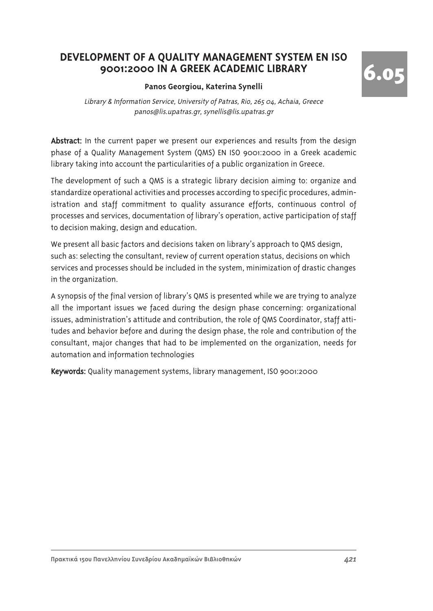# DEVELOPMENT OF A OUALITY MANAGEMENT SYSTEM EN ISO 9001:2000 IN A GREEK ACADEMIC LIBRARY

#### Panos Georgiou, Katerina Synelli

6.05

Library & Information Service, University of Patras, Rio. 265 04, Achaia, Greece panos@lis.upatras.gr, synellis@lis.upatras.gr

Abstract: In the current paper we present our experiences and results from the design phase of a Quality Management System (QMS) EN ISO 9001:2000 in a Greek academic library taking into account the particularities of a public organization in Greece.

The development of such a QMS is a strategic library decision aiming to: organize and standardize operational activities and processes according to specific procedures, administration and staff commitment to quality assurance efforts, continuous control of processes and services, documentation of library's operation, active participation of staff to decision making, design and education.

We present all basic factors and decisions taken on library's approach to QMS design, such as: selecting the consultant, review of current operation status, decisions on which services and processes should be included in the system, minimization of drastic changes in the organization.

A synopsis of the final version of library's QMS is presented while we are trying to analyze all the important issues we faced during the design phase concerning: organizational issues, administration's attitude and contribution, the role of QMS Coordinator, staff attitudes and behavior before and during the design phase, the role and contribution of the consultant, major changes that had to be implemented on the organization, needs for automation and information technologies

Keywords: Quality management systems, library management, ISO 9001:2000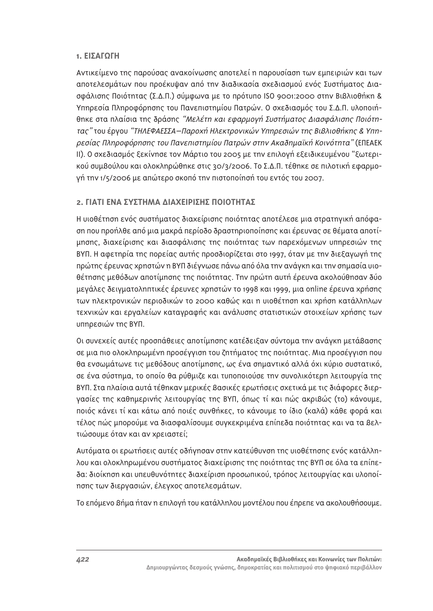#### 1. **ΕΙΣΑΓΟΓΗ**

Αντικείμενο της παρούσας ανακοίνωσης αποτελεί η παρουσίαση των εμπειριών και των αποτελεσμάτων που προέκυψαν από την διαδικασία σχεδιασμού ενός Συστήματος Διασφάλισης Ποιότητας (Σ.Δ.Π.) σύμφωνα με το πρότυπο ISO 9001:2000 στην Βιβλιοθήκη & Υπηρεσία Πληροφόρησης του Πανεπιστημίου Πατρών. Ο σχεδιασμός του Σ.Δ.Π. υλοποιήθηκε στα πλαίσια της δράσης "Μελέτη και εφαρμογή Συστήματος Διασφάλισης Ποιότητας" του έργου "ΤΗΛΕΦΑΕΣΣΑ-Παροχή Ηλεκτρονικών Υπηρεσιών της Βιβλιοθήκης & Υπηρεσίας Πληροφόρησης του Πανεπιστημίου Πατρών στην Ακαδημαϊκή Κοινότητα" (ΕΠΕΑΕΚ π). Ο σχεδιασμός ξεκίνησε τον Μάρτιο του 2005 με την επιλογή εξειδικευμένου "ξωτερι-ΚΟύ συμβούλου και ολοκληρώθηκε στις 30/3/2006. Το Σ.Δ.Π. τέθηκε σε πιλοτική εφαρμογή την 1/5/2006 με απώτερο σκοπό την πιστοποίησή του εντός του 2007.

# **2. ΓΙΑΤΙ ΕΝΑ ΣΥΣΤΗΜΑ ΔΙΑΧΕΙΡΙΣΗΣ ΠΟΙΟΤΗΤΑΣ**

Η υιοθέτηση ενός συστήματος διαχείρισης ποιότητας αποτέλεσε μια στρατηγική απόφαση που προήλθε από μια μακρά περίοδο δραστηριοποίησης και έρευνας σε θέματα αποτίμησης, διαχείρισης και διασφάλισης της ποιότητας των παρεχόμενων υπηρεσιών της BYΠ. Η αφετηρία της πορείας αυτής προσδιορίζεται στο 1997, όταν με την διεξαγωγή της πρώτης έρευνας χρηστών η ΒΥΠ διέγνωσε πάνω από όλα την ανάγκη και την σημασία υιοθέτησης μεθόδων αποτίμησης της ποιότητας. Την πρώτη αυτή έρευνα ακολούθησαν δύο μεγάλες δειγματοληπτικές έρευνες χρηστών το 1998 και 1999, μια online έρευνα χρήσης των ηλεκτρονικών περιοδικών το 2000 καθώς και η υιοθέτηση και χρήση κατάλληλων τεχνικών και εργαλείων καταγραφής και ανάλυσης στατιστικών στοιχείων χρήσης των υπηρεσιών της ΒΥΠ.

Οι συνεχείς αυτές προσπάθειες αποτίμησης κατέδειξαν σύντομα την ανάγκη μετάβασης σε μια πιο ολοκληρωμένη προσέγγιση του ζητήματος της ποιότητας. Μια προσέγγιση που θα ενσωμάτωνε τις μεθόδους αποτίμησης, ως ένα σημαντικό αλλά όχι κύριο συστατικό, σε ένα σύστημα, το οποίο θα ρύθμιζε και τυποποιούσε την συνολικότερη λειτουργία της BΥΠ. Στα πλαίσια αυτά τέθηκαν μερικές Βασικές ερωτήσεις σχετικά με τις διάφορες διεργασίες της καθημερινής λειτουργίας της ΒΥΠ, όπως τί και πώς ακριβώς (το) κάνουμε, ποιός κάνει τί και κάτω από ποιές συνθήκες, το κάνουμε το ίδιο (καλά) κάθε φορά και τέλος πώς μπορούμε να διασφαλίσουμε συγκεκριμένα επίπεδα ποιότητας και να τα Βελτιώσουμε όταν και αν χρειαστεί;

Αυτόματα οι ερωτήσεις αυτές οδήγησαν στην κατεύθυνση της υιοθέτησης ενός κατάλληλου και ολοκληρωμένου συστήματος διαχείρισης της ποιότητας της ΒΥΠ σε όλα τα επίπεδα: διοίκηση και υπευθυνότητες διαχείριση προσωπικού, τρόπος λειτουργίας και υλοποίησης των διεργασιών, έλεγχος αποτελεσμάτων.

Το επόμενο βήμα ήταν η επιλογή του κατάλληλου μοντέλου που έπρεπε να ακολουθήσουμε.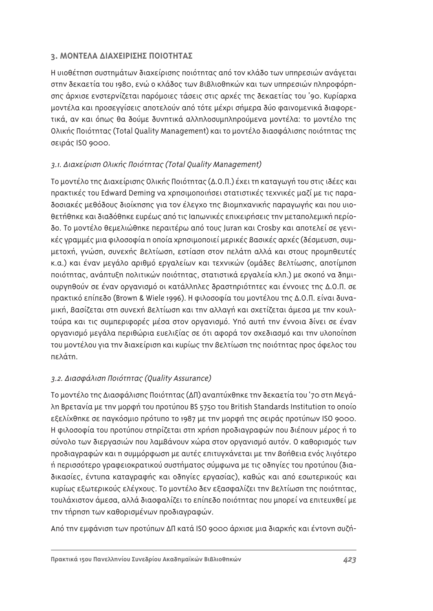## **3. ΜΟΝΤΕΛΑ ΔΙΑΧΕΙΡΙΣΗΣ ΠΟΙΟΤΗΤΑΣ**

Η υιοθέτηση συστημάτων διαχείρισης ποιότητας από τον κλάδο των υπηρεσιών ανάγεται στην δεκαετία του 1980, ενώ ο κλάδος των Βιβλιοθηκών και των υπηρεσιών πληροφόρησης άρχισε ενστερνίζεται παρόμοιες τάσεις στις αρχές της δεκαετίας του '90. Κυρίαρχα μοντέλα και προσεγγίσεις αποτελούν από τότε μέχρι σήμερα δύο φαινομενικά διαφορετικά, αν και όπως θα δούμε δυνητικά αλληλοσυμπληρούμενα μοντέλα: το μοντέλο της Ολικής Ποιότητας (Total Quality Management) και το μοντέλο διασφάλισης ποιότητας της σειράς ISO 9000.

## 3.1. Διαχείριση Ολικής Ποιότητας (Total Quality Management)

Το μοντέλο της Διαχείρισης Ολικής Ποιότητας (Δ.Ο.Π.) έχει τη καταγωγή του στις ιδέες και πρακτικές του Edward Deming να χρησιμοποιήσει στατιστικές τεχνικές μαζί με τις παραδοσιακές μεθόδους διοίκησης για τον έλεγχο της Βιομηχανικής παραγωγής και που υιοθετήθηκε και διαδόθηκε ευρέως από τις Ιαπωνικές επιχειρήσεις την μεταπολεμική περίοδο. Το μοντέλο θεμελιώθηκε περαιτέρω από τους Juran και Crosby και αποτελεί σε γενικές γραμμές μια φιλοσοφία η οποία χρησιμοποιεί μερικές Βασικές αρχές (δέσμευση, συμμετοχή, γνώση, συνεχής βελτίωση, εστίαση στον πελάτη αλλά και στους προμηθευτές κ.α.) και έναν μεγάλο αριθμό εργαλείων και τεχνικών (ομάδες Βελτίωσης, αποτίμηση ποιότητας, ανάπτυξη πολιτικών ποιότητας, στατιστικά ερναλεία κλπ.) με σκοπό να δημιουργηθούν σε έναν οργανισμό οι κατάλληλες δραστηριότητες και έννοιες της Δ.Ο.Π. σε πρακτικό επίπεδο (Brown & Wiele 1996). Η φιλοσοφία του μοντέλου της Δ.Ο.Π. είναι δυναμική, βασίζεται στη συνεχή βελτίωση και την αλλαγή και σχετίζεται άμεσα με την κουλτούρα και τις συμπεριφορές μέσα στον οργανισμό. Υπό αυτή την έννοια δίνει σε έναν οργανισμό μεγάλα περιθώρια ευελιξίας σε ότι αφορά τον σχεδιασμό και την υλοποίηση του μοντέλου για την διαχείριση και κυρίως την Βελτίωση της ποιότητας προς όφελος του πελάτη.

# 3.2. Διασφάλιση Ποιότητας (Quality Assurance)

Το μοντέλο της Διασφάλισης Ποιότητας (ΔΠ) αναπτύχθηκε την δεκαετία του '70 στη Μεγά- $\lambda$ η Βρετανία με την μορφή του προτύπου BS 5750 του British Standards Institution το οποίο εξελίχθηκε σε παγκόσμιο πρότυπο το 1987 με την μορφή της σειράς προτύπων ISO 9000. Η φιλοσοφία του προτύπου στηρίζεται στη χρήση προδιαγραφών που διέπουν μέρος ή το σύνολο των διεργασιών που λαμβάνουν χώρα στον οργανισμό αυτόν. Ο καθορισμός των προδιαγραφών και η συμμόρφωση με αυτές επιτυγχάνεται με την Βοήθεια ενός λιγότερο ή περισσότερο γραφειοκρατικού συστήματος σύμφωνα με τις οδηγίες του προτύπου (διαδικασίες, έντυπα καταγραφής και οδηγίες εργασίας), καθώς και από εσωτερικούς και κυρίως εξωτερικούς ελέγχους. Το μοντέλο δεν εξασφαλίζει την Βελτίωση της ποιότητας, τουλάχιστον άμεσα, αλλά διασφαλίζει το επίπεδο ποιότητας που μπορεί να επιτευχθεί με την τήρηση των καθορισμένων προδιαγραφών.

Aπό την εμφάνιση των προτύπων ΔΠ κατά ISO 9000 άρχισε μια διαρκής και έντονη συζή-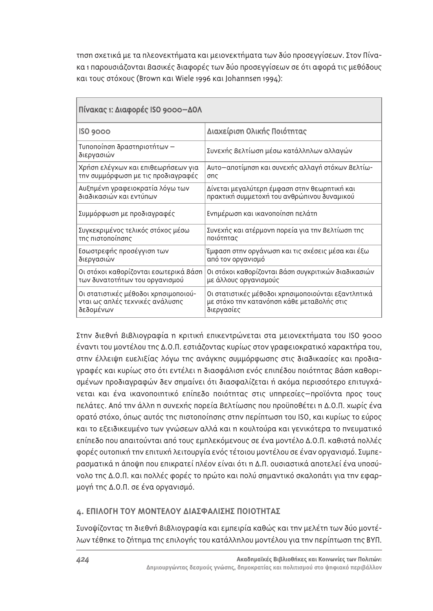τηση σχετικά με τα πλεονεκτήματα και μειονεκτήματα των δύο προσεγγίσεων. Στον Πίνακα 1 παρουσιάζονται Βασικές διαφορές των δύο προσεγγίσεων σε ότι αφορά τις μεθόδους και τους στόχους (Brown και Wiele 1996 και Johannsen 1994):

| Πίνακας 1: Διαφορές ISO 9000-ΔΟΛ          |                                                     |
|-------------------------------------------|-----------------------------------------------------|
| ISO 9000                                  | Διαχείριση Ολικής Ποιότητας                         |
| Τυποποίηση δραστηριοτήτων —<br>διεργασιών | Συνεχής βελτίωση μέσω κατάλληλων αλλαγών            |
| Χρήση ελέγχων και επιθεωρήσεων για        | Αυτο-αποτίμηση και συνεχής αλλαγή στόχων βελτίω-    |
| την συμμόρφωση με τις προδιαγραφές        | onc                                                 |
| Αυξημένη γραφειοκρατία λόγω των           | Δίνεται μεγαλύτερη έμφαση στην θεωρητική και        |
| διαδικασιών και εντύπων                   | πρακτική συμμετοχή του ανθρώπινου δυναμικού         |
| Συμμόρφωση με προδιαγραφές                | Ενημέρωση και ικανοποίηση πελάτη                    |
| Συγκεκριμένος τελικός στόχος μέσω         | Συνεχής και ατέρμονη πορεία για την Βελτίωση της    |
| της πιστοποίησης                          | ποιότητας                                           |
| Εσωστρεφής προσέγγιση των                 | Έμφαση στην οργάνωση και τις σχέσεις μέσα και έξω   |
| διεργασιών                                | από τον οργανισμό                                   |
| Οι στόχοι καθορίζονται εσωτερικά βάση     | Οι στόχοι καθορίζονται βάση συγκριτικών διαδικασιών |
| των δυνατοτήτων του οργανισμού            | με άλλους οργανισμούς                               |
| Οι στατιστικές μέθοδοι χρησιμοποιού-      | Οι στατιστικές μέθοδοι χρησιμοποιούνται εξαντλητικά |
| νται ως απλές τεχνικές ανάλυσης           | με στόχο την κατανόηση κάθε μεταβολής στις          |
| δεδομένων                                 | διεργασίες                                          |

Στην διεθνή βιβλιογραφία η κριτική επικεντρώνεται στα μειονεκτήματα του ISO 9000 έναντι του μοντέλου της Δ.Ο.Π. εστιάζοντας κυρίως στον γραφειοκρατικό χαρακτήρα του, στην έλλειψη ευελιξίας λόγω της ανάγκης συμμόρφωσης στις διαδικασίες και προδιαγραφές και κυρίως στο ότι εντέλει η διασφάλιση ενός επιπέδου ποιότητας βάση καθορισμένων προδιαγραφών δεν σημαίνει ότι διασφαλίζεται ή ακόμα περισσότερο επιτυγχά-Vεται και ένα ικανοποιητικό επίπεδο ποιότητας στις υπηρεσίες–προϊόντα προς τους πελάτες. Από την άλλη η συνεχής πορεία Βελτίωσης που προϋποθέτει η Δ.Ο.Π. χωρίς ένα ορατό στόχο, όπως αυτός της πιστοποίησης στην περίπτωση του ISO, και κυρίως το εύρος και το εξειδικευμένο των γνώσεων αλλά και η κουλτούρα και γενικότερα το πνευματικό επίπεδο που απαιτούνται από τους εμπλεκόμενους σε ένα μοντέλο Δ.Ο.Π. καθιστά πολλές Φορές ουτοπική την επιτυχή λειτουργία ενός τέτοιου μοντέλου σε έναν οργανισμό. Συμπερασματικά η άποψη που επικρατεί πλέον είναι ότι η Δ.Π. ουσιαστικά αποτελεί ένα υποσύ-VOλο της Δ.Ο.Π. και πολλές φορές το πρώτο και πολύ σημαντικό σκαλοπάτι για την εφαρμογή της Δ.Ο.Π. σε ένα οργανισμό.

## **4. ΕΠΙΛΟΓΗ ΤΟΥ ΜΟΝΤΕΛΟΥ ΔΙΑΣΦΑΛΙΣΗΣ ΠΟΙΟΤΗΤΑΣ**

Συνοψίζοντας τη διεθνή Βιβλιογραφία και εμπειρία καθώς και την μελέτη των δύο μοντέλων τέθηκε το ζήτημα της επιλογής του κατάλληλου μοντέλου για την περίπτωση της ΒΥΠ.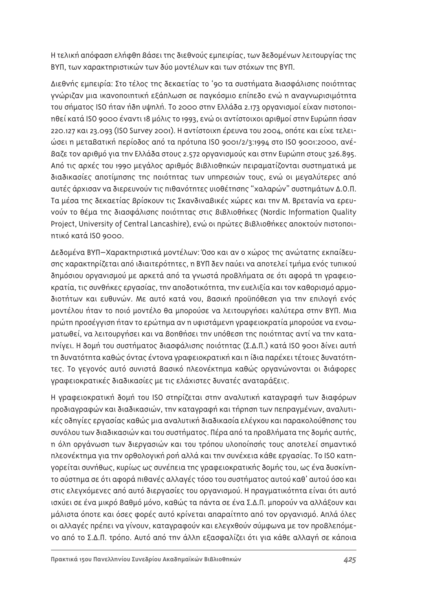Η τελική απόφαση ελήφθη βάσει της διεθνούς εμπειρίας, των δεδομένων λειτουργίας της BΥΠ, των χαρακτηριστικών των δύο μοντέλων και των στόχων της ΒΥΠ.

Διεθνής εμπειρία: Στο τέλος της δεκαετίας το '90 τα συστήματα διασφάλισης ποιότητας γνώριζαν μια ικανοποιητική εξάπλωση σε παγκόσμιο επίπεδο ενώ η αναγνωρισιμότητα του σήματος ISO ήταν ήδη υψηλή. Το 2000 στην Ελλάδα 2.173 οργανισμοί είχαν πιστοποιηθεί κατά ISO 9000 έναντι 18 μόλις το 1993, ενώ οι αντίστοιχοι αριθμοί στην Ευρώπη ήσαν 220.127 Και 23.093 (ISO Survey 2001). Η αντίστοιχη έρευνα του 2004, οπότε και είχε τελειώσει η μεταβατική περίοδος από τα πρότυπα ISO 9001/2/3:1994 στο ISO 9001:2000, ανέβαζε τον αριθμό για την Ελλάδα στους 2.572 οργανισμούς και στην Ευρώπη στους 326.895. Aπό τις αρχές του 1990 μεγάλος αριθμός Βιβλιοθηκών πειραματίζονται συστηματικά με διαδικασίες αποτίμησης της ποιότητας των υπηρεσιών τους, ενώ οι μεγαλύτερες από αυτές άρχισαν να διερευνούν τις πιθανότητες υιοθέτησης "χαλαρών" συστημάτων Δ.Ο.Π. Τα μέσα της δεκαετίας βρίσκουν τις Σκανδιναβικές χώρες και την Μ. Βρετανία να ερευ-VOÚV το θέμα της διασφάλισης ποιότητας στις Βιβλιοθήκες (Nordic Information Quality Project, University of Central Lancashire), ενώ οι πρώτες Βιβλιοθήκες αποκτούν πιστοποιητικό κατά ISO 9000.

Δεδομένα BYΠ–Χαρακτηριστικά μοντέλων: Όσο και αν ο χώρος της ανώτατης εκπαίδευσης χαρακτηρίζεται από ιδιαιτερότητες, η ΒΥΠ δεν παύει να αποτελεί τμήμα ενός τυπικού δημόσιου οργανισμού με αρκετά από τα γνωστά προβλήματα σε ότι αφορά τη γραφειοκρατία, τις συνθήκες εργασίας, την αποδοτικότητα, την ευελιξία και τον καθορισμό αρμοδιοτήτων και ευθυνών. Με αυτό κατά νου, Βασική προϋπόθεση για την επιλογή ενός μοντέλου ήταν το ποιό μοντέλο θα μπορούσε να λειτουργήσει καλύτερα στην ΒΥΠ. Μια πρώτη προσέγγιση ήταν το ερώτημα αν η υφιστάμενη γραφειοκρατία μπορούσε να ενσωματωθεί, να λειτουργήσει και να βοηθήσει την υπόθεση της ποιότητας αντί να την καταπνίγει. Η δομή του συστήματος διασφάλισης ποιότητας (Σ.Δ.Π.) κατά ISO 9001 δίνει αυτή τη δυνατότητα καθώς όντας έντονα γραφειοκρατική και η ίδια παρέχει τέτοιες δυνατότητες. Το γεγονός αυτό συνιστά Βασικό πλεονέκτημα καθώς οργανώνονται οι διάφορες γραφειοκρατικές διαδικασίες με τις ελάχιστες δυνατές αναταράξεις.

Η γραφειοκρατική δομή του ISO στηρίζεται στην αναλυτική καταγραφή των διαφόρων προδιαγραφών και διαδικασιών, την καταγραφή και τήρηση των πεπραγμένων, αναλυτικές οδηγίες εργασίας καθώς μια αναλυτική διαδικασία ελέγχου και παρακολούθησης του συνόλου των διαδικασιών και του συστήματος. Πέρα από τα προβλήματα της δομής αυτής, n όλη οργάνωση των διεργασιών και του τρόπου υλοποίησής τους αποτελεί σημαντικό πλεονέκτημα για την ορθολογική ροή αλλά και την συνέχεια κάθε εργασίας. Το ISO κατηγορείται συνήθως, κυρίως ως συνέπεια της γραφειοκρατικής δομής του, ως ένα δυσκίνητο σύστημα σε ότι αφορά πιθανές αλλαγές τόσο του συστήματος αυτού καθ' αυτού όσο και στις ελεγχόμενες από αυτό διεργασίες του οργανισμού. Η πραγματικότητα είναι ότι αυτό ισχύει σε ένα μικρό βαθμό μόνο, καθώς τα πάντα σε ένα Σ.Δ.Π. μπορούν να αλλάξουν και μάλιστα όποτε και όσες φορές αυτό κρίνεται απαραίτητο από τον οργανισμό. Απλά όλες οι αλλαγές πρέπει να γίνουν, καταγραφούν και ελεγχθούν σύμφωνα με τον προβλεπόμενο από το Σ.Δ.Π. τρόπο. Αυτό από την άλλη εξασφαλίζει ότι για κάθε αλλαγή σε κάποια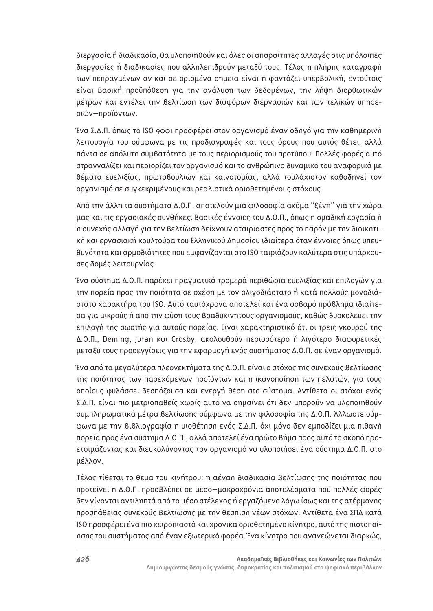διεργασία ή διαδικασία, θα υλοποιηθούν και όλες οι απαραίτητες αλλαγές στις υπόλοιπες διεργασίες ή διαδικασίες που αλληλεπιδρούν μεταξύ τους. Τέλος η πλήρης καταγραφή των πεπραγμένων αν και σε ορισμένα σημεία είναι ή φαντάζει υπερβολική, εντούτοις είναι Βασική προϋπόθεση για την ανάλυση των δεδομένων, την λήψη διορθωτικών μέτρων και εντέλει την Βελτίωση των διαφόρων διεργασιών και των τελικών υπηρεσιών-προϊόντων.

Ένα Σ.Δ.Π. όπως το ISO 9001 προσφέρει στον οργανισμό έναν οδηγό για την καθημερινή λειτουργία του σύμφωνα με τις προδιαγραφές και τους όρους που αυτός θέτει, αλλά πάντα σε απόλυτη συμβατότητα με τους περιορισμούς του προτύπου. Πολλές φορές αυτό στραγγαλίζει και περιορίζει τον οργανισμό και το ανθρώπινο δυναμικό του αναφορικά με θέματα ευελιξίας, πρωτοβουλιών και καινοτομίας, αλλά τουλάχιστον καθοδηγεί τον οργανισμό σε συγκεκριμένους και ρεαλιστικά οριοθετημένους στόχους.

Από την άλλη τα συστήματα Δ.Ο.Π. αποτελούν μια φιλοσοφία ακόμα "ξένη" για την χώρα μας και τις εργασιακές συνθήκες. Βασικές έννοιες του Δ.Ο.Π., όπως η ομαδική εργασία ή η συνεχής αλλαγή για την Βελτίωση δείχνουν αταίριαστες προς το παρόν με την διοικητική και εργασιακή κουλτούρα του Ελληνικού Δημοσίου ιδιαίτερα όταν έννοιες όπως υπευθυνότητα και αρμοδιότητες που εμφανίζονται στο ISO ταιριάζουν καλύτερα στις υπάρχουσες δομές λειτουργίας.

Ένα σύστημα Δ.Ο.Π. παρέχει πραγματικά τρομερά περιθώρια ευελιξίας και επιλογών για την πορεία προς την ποιότητα σε σχέση με τον ολιγοδιάστατο ή κατά πολλούς μονοδιάστατο χαρακτήρα του ISO. Αυτό ταυτόχρονα αποτελεί και ένα σοβαρό πρόβλημα ιδιαίτερα για μικρούς ή από την φύση τους Βραδυκίνητους οργανισμούς, καθώς δυσκολεύει την επιλογή της σωστής για αυτούς πορείας. Είναι χαρακτηριστικό ότι οι τρεις γκουρού της Δ.Ο.Π., Deming, Juran και Crosby, ακολουθούν περισσότερο ή λιγότερο διαφορετικές μεταξύ τους προσεγγίσεις για την εφαρμογή ενός συστήματος Δ.Ο.Π. σε έναν οργανισμό.

Ένα από τα μεγαλύτερα πλεονεκτήματα της Δ.Ο.Π. είναι ο στόχος της συνεχούς Βελτίωσης της ποιότητας των παρεχόμενων προϊόντων και η ικανοποίηση των πελατών, για τους οποίους φυλάσσει δεσπόζουσα και ενεργή θέση στο σύστημα. Αντίθετα οι στόχοι ενός Σ.Δ.Π. είναι πιο μετριοπαθείς χωρίς αυτό να σημαίνει ότι δεν μπορούν να υλοποιηθούν συμπληρωματικά μέτρα βελτίωσης σύμφωνα με την φιλοσοφία της Δ.Ο.Π. Άλλωστε σύμφωνα με την Βιβλιογραφία η υιοθέτηση ενός Σ.Δ.Π. όχι μόνο δεν εμποδίζει μια πιθανή πορεία προς ένα σύστημα Δ.Ο.Π., αλλά αποτελεί ένα πρώτο Βήμα προς αυτό το σκοπό προετοιμάζοντας και διευκολύνοντας τον οργανισμό να υλοποιήσει ένα σύστημα Δ.Ο.Π. στο μέλλον.

Τέλος τίθεται το θέμα του κινήτρου: η αέναη διαδικασία βελτίωσης της ποιότητας που προτείνει η Δ.Ο.Π. προσβλέπει σε μέσο–μακροχρόνια αποτελέσματα που πολλές φορές δεν γίνονται αντιληπτά από το μέσο στέλεχος ή εργαζόμενο λόγω ίσως και της ατέρμονης προσπάθειας συνεχούς Βελτίωσης με την θέσπιση νέων στόχων. Αντίθετα ένα ΣΠΔ κατά ISO προσφέρει ένα πιο χειροπιαστό και χρονικά οριοθετημένο κίνητρο, αυτό της πιστοποίησης του συστήματος από έναν εξωτερικό φορέα. Ένα κίνητρο που ανανεώνεται διαρκώς,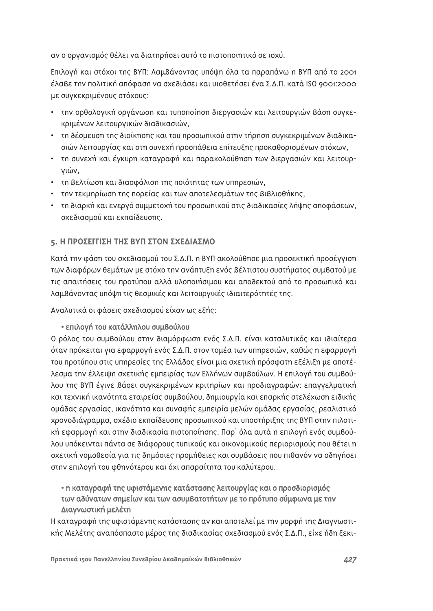αν ο οργανισμός θέλει να διατηρήσει αυτό το πιστοποιητικό σε ισχύ.

Επιλογή και στόχοι της ΒΥΠ: Λαμβάνοντας υπόψη όλα τα παραπάνω η ΒΥΠ από το 2001 έλαβε την πολιτική απόφαση να σχεδιάσει και υιοθετήσει ένα Σ.Δ.Π. κατά ISO 9001:2000 με συγκεκριμένους στόχους:

- την ορθολογική οργάνωση και τυποποίηση διεργασιών και λειτουργιών Βάση συγκεκριμένων λειτουργικών διαδικασιών,
- \* τη δέσμευση της διοίκησης και του προσωπικού στην τήρηση συγκεκριμένων διαδικασιών λειτουργίας και στη συνεχή προσπάθεια επίτευξης προκαθορισμένων στόχων,
- $\cdot$  τη συνεχή και έγκυρη καταγραφή και παρακολούθηση των διεργασιών και λειτουρνιών.
- τη βελτίωση και διασφάλιση της ποιότητας των υπηρεσιών,
- την τεκμηρίωση της πορείας και των αποτελεσμάτων της Βιβλιοθήκης,
- τη διαρκή και ενεργό συμμετοχή του προσωπικού στις διαδικασίες λήψης αποφάσεων, σχεδιασμού και εκπαίδευσης.

## **5. Η ΠΡΟΣΕΓΓΙΣΗ ΤΗΣ ΒΥΠ ΣΤΟΝ ΣΧΕΔΙΑΣΜΟ**

Κατά την φάση του σχεδιασμού του Σ.Δ.Π. η ΒΥΠ ακολούθησε μια προσεκτική προσέγγιση των διαφόρων θεμάτων με στόχο την ανάπτυξη ενός βέλτιστου συστήματος συμβατού με τις απαιτήσεις του προτύπου αλλά υλοποιήσιμου και αποδεκτού από το προσωπικό και λαμβάνοντας υπόψη τις θεσμικές και λειτουργικές ιδιαιτερότητές της.

Αναλυτικά οι φάσεις σχεδιασμού είχαν ως εξής:

#### • επιλογή του κατάλληλου συμβούλου

Ο ρόλος του συμβούλου στην διαμόρφωση ενός Σ.Δ.Π. είναι καταλυτικός και ιδιαίτερα όταν πρόκειται για εφαρμογή ενός Σ.Δ.Π. στον τομέα των υπηρεσιών, καθώς η εφαρμογή του προτύπου στις υπηρεσίες της Ελλάδος είναι μια σχετική πρόσφατη εξέλιξη με αποτέλεσμα την έλλειψη σχετικής εμπειρίας των Ελλήνων συμβούλων. Η επιλογή του συμβούλου της ΒΥΠ έγινε βάσει συγκεκριμένων κριτηρίων και προδιαγραφών: επαγγελματική και τεχνική ικανότητα εταιρείας συμβούλου, δημιουργία και επαρκής στελέχωση ειδικής ομάδας εργασίας, ικανότητα και συναφής εμπειρία μελών ομάδας εργασίας, ρεαλιστικό xρονοδιάγραμμα, σχέδιο εκπαίδευσης προσωπικού και υποστήριξης της ΒΥΠ στην πιλοτική εφαρμογή και στην διαδικασία πιστοποίησης. Παρ' όλα αυτά η επιλογή ενός συμβούλου υπόκεινται πάντα σε διάφορους τυπικούς και οικονομικούς περιορισμούς που θέτει n σχετική νομοθεσία για τις δημόσιες προμήθειες και συμβάσεις που πιθανόν να οδηγήσει στην επιλογή του φθηνότερου και όχι απαραίτητα του καλύτερου.

# · η καταγραφή της υφιστάμενης κατάστασης λειτουργίας και ο προσδιορισμός των αδύνατων σημείων και των ασυμβατοτήτων με το πρότυπο σύμφωνα με την Διαγνωστική μελέτη

Η καταγραφή της υφιστάμενης κατάστασης αν και αποτελεί με την μορφή της Διαγνωστικής Μελέτης αναπόσπαστο μέρος της διαδικασίας σχεδιασμού ενός Σ.Δ.Π., είχε ήδη ξεκι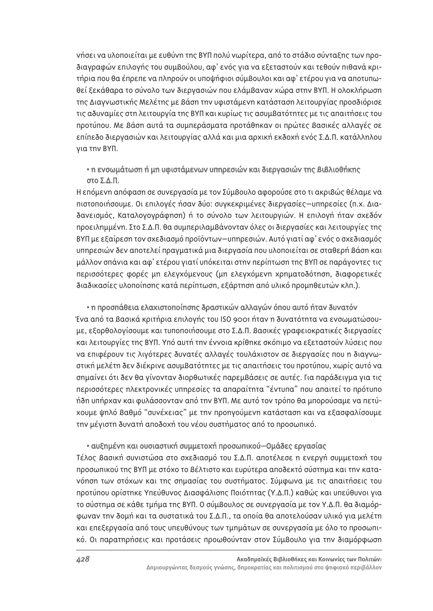νήσει να υλοποιείται με ευθύνη της ΒΥΠ πολύ νωρίτερα, από το στάδιο σύνταξης των προδιαγραφών επιλογής του συμβούλου, αφ' ενός για να εξεταστούν και τεθούν πιθανά κριτήρια που θα έπρεπε να πληρούν οι υποψήφιοι σύμβουλοι και αφ' ετέρου για να αποτυπωθεί ξεκάθαρα το σύνολο των διερνασιών που ελάμβαναν χώρα στην ΒΥΠ. Η ολοκλήρωση της Διαγνωστικής Μελέτης με βάση την υφιστάμενη κατάσταση λειτουργίας προσδιόρισε τις αδυναμίες στη λειτουργία της ΒΥΠ και κυρίως τις ασυμβατότητες με τις απαιτήσεις του προτύπου. Με βάση αυτά τα συμπεράσματα προτάθηκαν οι πρώτες βασικές αλλαγές σε επίπεδο διεργασιών και λειτουργίας αλλά και μια αρχική εκδοχή ενός Σ.Δ.Π. κατάλληλου για την ΒΥΠ.

## • η ενσωμάτωση ή μη υφιστάμενων υπηρεσιών και διεργασιών της Βιβλιοθήκης στο Σ.Δ.Π.

Η επόμενη απόφαση σε συνεργασία με τον Σύμβουλο αφορούσε στο τι ακριβώς θέλαμε να πιστοποιήσουμε. Οι επιλογές ήσαν δύο: συγκεκριμένες διεργασίες–υπηρεσίες (π.χ. Διαδανεισμός, Καταλογογράφηση) ή το σύνολο των λειτουργιών. Η επιλογή ήταν σχεδόν προειλημμένη. Στο Σ.Δ.Π. θα συμπεριλαμβάνονταν όλες οι διεργασίες και λειτουργίες της ΒΥΠ με εξαίρεση τον σχεδιασμό προϊόντων–υπηρεσιών. Αυτό γιατί αφ' ενός ο σχεδιασμός υπηρεσιών δεν αποτελεί πραγματικά μια διεργασία που υλοποιείται σε σταθερή βάση και μάλλον σπάνια και αφ' ετέρου γιατί υπόκειται στην περίπτωση της ΒΥΠ σε παράγοντες τις περισσότερες φορές μη ελεγχόμενους (μη ελεγχόμενη χρηματοδότηση, διαφορετικές διαδικασίες υλοποίησης κατά περίπτωση, εξάρτηση από υλικό προμηθευτών κλπ.).

### • η προσπάθεια ελαχιστοποίησης δραστικών αλλαγών όπου αυτό ήταν δυνατόν

Ένα από τα βασικά κριτήρια επιλογής του ISO 9001 ήταν η δυνατότητα να ενσωματώσουμε, εξορθολογίσουμε και τυποποιήσουμε στο Σ.Δ.Π. Βασικές γραφειοκρατικές διεργασίες και λειτουργίες της ΒΥΠ. Υπό αυτή την έννοια κρίθηκε σκόπιμο να εξεταστούν λύσεις που να επιφέρουν τις λιγότερες δυνατές αλλαγές τουλάχιστον σε διεργασίες που η διαγνωστική μελέτη δεν διέκρινε ασυμβατότητες με τις απαιτήσεις του προτύπου, χωρίς αυτό να σημαίνει ότι δεν θα γίνονταν διορθωτικές παρεμβάσεις σε αυτές. Για παράδειγμα για τις περισσότερες ηλεκτρονικές υπηρεσίες τα απαραίτητα "έντυπα" που απαιτεί το πρότυπο ήδη υπήρχαν και φυλάσσονταν από την ΒΥΠ. Με αυτό τον τρόπο θα μπορούσαμε να πετύχουμε ψηλό βαθμό "συνέχειας" με την προηγούμενη κατάσταση και να εξασφαλίσουμε την μέγιστη δυνατή αποδοχή του νέου συστήματος από το προσωπικό.

#### • αυξημένη και ουσιαστική συμμετοχή προσωπικού-Ομάδες εργασίας

Τέλος Βασική συνιστώσα στο σχεδιασμό του Σ.Δ.Π. αποτέλεσε η ενεργή συμμετοχή του προσωπικού της ΒΥΠ με στόχο το βέλτιστο και ευρύτερα αποδεκτό σύστημα και την κατανόηση των στόχων και της σημασίας του συστήματος. Σύμφωνα με τις απαιτήσεις του προτύπου ορίστηκε Υπεύθυνος Διασφάλισης Ποιότητας (Υ.Δ.Π.) καθώς και υπεύθυνοι για το σύστημα σε κάθε τμήμα της ΒΥΠ. Ο σύμβουλος σε συνεργασία με τον Υ.Δ.Π. θα διαμόρφωναν την δομή και τα συστατικά του Σ.Δ.Π., τα οποία θα αποτελούσαν υλικό για μελέτη και επεξεργασία από τους υπευθύνους των τμημάτων σε συνεργασία με όλο το προσωπικό. Οι παρατηρήσεις και προτάσεις προωθούνταν στον Σύμβουλο για την διαμόρφωση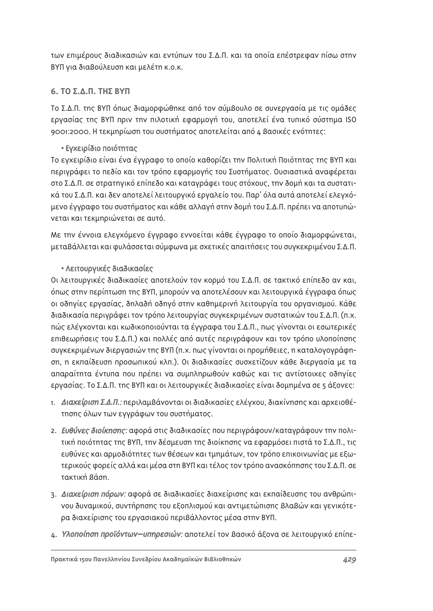των επιμέρους διαδικασιών και εντύπων του Σ.Δ.Π. και τα οποία επέστρεφαν πίσω στην ΒΥΠ για διαβούλευση και μελέτη κ.ο.κ.

## **6. ΤΟ Σ.Δ.Π. ΤΗΣ ΒΥΠ**

Το Σ.Δ.Π. της ΒΥΠ όπως διαμορφώθηκε από τον σύμβουλο σε συνεργασία με τις ομάδες εργασίας της ΒΥΠ πριν την πιλοτική εφαρμογή του, αποτελεί ένα τυπικό σύστημα ISO 9001:2000. Η τεκμηρίωση του συστήματος αποτελείται από 4 Βασικές ενότητες:

# • Εγχειρίδιο ποιότητας

Το εγχειρίδιο είναι ένα έγγραφο το οποίο καθορίζει την Πολιτική Ποιότητας της ΒΥΠ και περιγράφει το πεδίο και τον τρόπο εφαρμογής του Συστήματος. Ουσιαστικά αναφέρεται στο Σ.Δ.Π. σε στρατηγικό επίπεδο και καταγράφει τους στόχους, την δομή και τα συστατικά του Σ.Δ.Π. και δεν αποτελεί λειτουργικό εργαλείο του. Παρ' όλα αυτά αποτελεί ελεγχόμενο έγγραφο του συστήματος και κάθε αλλαγή στην δομή του Σ.Δ.Π. πρέπει να αποτυπώνεται και τεκμηριώνεται σε αυτό.

Με την έννοια ελενχόμενο έννραφο εννοείται κάθε έννραφο το οποίο διαμορφώνεται. μεταβάλλεται και φυλάσσεται σύμφωνα με σχετικές απαιτήσεις του συγκεκριμένου Σ.Δ.Π.

# • Λειτουργικές διαδικασίες

Οι λειτουργικές διαδικασίες αποτελούν τον κορμό του Σ.Δ.Π. σε τακτικό επίπεδο αν και, όπως στην περίπτωση της ΒΥΠ, μπορούν να αποτελέσουν και λειτουργικά έγγραφα όπως οι οδηγίες εργασίας, δηλαδή οδηγό στην καθημερινή λειτουργία του οργανισμού. Κάθε διαδικασία περιγράφει τον τρόπο λειτουργίας συγκεκριμένων συστατικών του Σ.Δ.Π. (π.χ. πώς ελέγχονται και κωδικοποιούνται τα έγγραφα του Σ.Δ.Π., πως γίνονται οι εσωτερικές επιθεωρήσεις του Σ.Δ.Π.) και πολλές από αυτές περιγράφουν και τον τρόπο υλοποίησης συγκεκριμένων διεργασιών της ΒΥΠ (π.χ. πως γίνονται οι προμήθειες, η καταλογογράφηση, η εκπαίδευση προσωπικού κλπ.). Οι διαδικασίες συσχετίζουν κάθε διεργασία με τα απαραίτητα έντυπα που πρέπει να συμπληρωθούν καθώς και τις αντίστοιχες οδηγίες εργασίας. Το Σ.Δ.Π. της ΒΥΠ και οι λειτουργικές διαδικασίες είναι δομημένα σε 5 άξονες:

- 1. Διαχείριση Σ.Δ.Π.: περιλαμβάνονται οι διαδικασίες ελέγχου, διακίνησης και αρχειοθέτησης όλων των εγγράφων του συστήματος.
- 2. Ευθύνες διοίκησης: αφορά στις διαδικασίες που περιγράφουν/καταγράφουν την πολιτική ποιότητας της ΒΥΠ, την δέσμευση της διοίκησης να εφαρμόσει πιστά το Σ.Δ.Π., τις ευθύνες και αρμοδιότητες των θέσεων και τμημάτων, τον τρόπο επικοινωνίας με εξωτερικούς φορείς αλλά και μέσα στη BYΠ και τέλος τον τρόπο ανασκόπησης του Σ.Δ.Π. σε τακτική βάση
- 3. Διαχείριση πόρων: αφορά σε διαδικασίες διαχείρισης και εκπαίδευσης του ανθρώπι-VOU δυναμικού, συντήρησης του εξοπλισμού και αντιμετώπισης Βλαβών και γενικότερα διαχείρισης του εργασιακού περιβάλλοντος μέσα στην ΒΥΠ.
- 4. Υλοποίηση προϊόντων-υπηρεσιών: αποτελεί τον Βασικό άξονα σε λειτουργικό επίπε-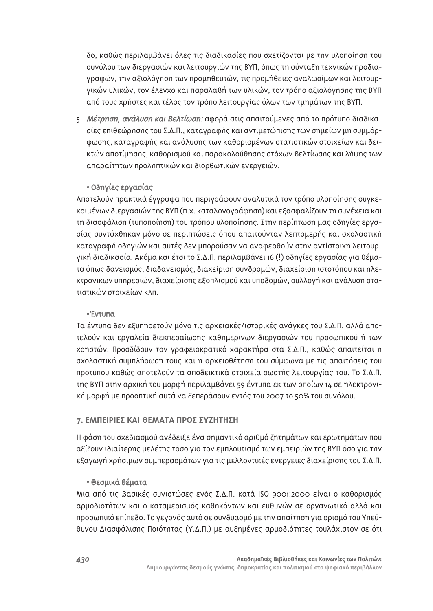δο, καθώς περιλαμβάνει όλες τις διαδικασίες που σχετίζονται με την υλοποίηση του συνόλου των διεργασιών και λειτουργιών της ΒΥΠ, όπως τη σύνταξη τεχνικών προδιαγραφών, την αξιολόγηση των προμηθευτών, τις προμήθειες αναλωσίμων και λειτουρ-VΙΚών υλικών, τον έλενχο και παραλαβή των υλικών, τον τρόπο αξιολόνησης της ΒΥΠ από τους χρήστες και τέλος τον τρόπο λειτουργίας όλων των τμημάτων της ΒΥΠ.

5. Μέτρηση, ανάλυση και βελτίωση: αφορά στις απαιτούμενες από το πρότυπο διαδικασίες επιθεώρησης του Σ.Δ.Π., καταγραφής και αντιμετώπισης των σημείων μη συμμόρφωσης, καταγραφής και ανάλυσης των καθορισμένων στατιστικών στοιχείων και δεικτών αποτίμησης, καθορισμού και παρακολούθησης στόχων βελτίωσης και λήψης των απαραίτητων προληπτικών και διορθωτικών ενεργειών.

## • Οδηγίες εργασίας

Αποτελούν πρακτικά έγγραφα που περιγράφουν αναλυτικά τον τρόπο υλοποίησης συγκεκριμένων διεργασιών της ΒΥΠ (π.χ. καταλογογράφηση) και εξασφαλίζουν τη συνέχεια και τη διασφάλιση (τυποποίηση) του τρόπου υλοποίησης. Στην περίπτωση μας οδηγίες εργασίας συντάχθηκαν μόνο σε περιπτώσεις όπου απαιτούνταν λεπτομερής και σχολαστική καταγραφή οδηγιών και αυτές δεν μπορούσαν να αναφερθούν στην αντίστοιχη λειτουργική διαδικασία. Ακόμα και έτσι το Σ.Δ.Π. περιλαμβάνει 16 (!) οδηγίες εργασίας για θέματα όπως δανεισμός, διαδανεισμός, διαχείριση συνδρομών, διαχείριση ιστοτόπου και ηλε-Κτρονικών υπηρεσιών, διαχείρισης εξοπλισμού και υποδομών, συλλογή και ανάλυση στατιστικών στοιχείων κλπ.

#### \* Fvruna

Τα έντυπα δεν εξυπηρετούν μόνο τις αρχειακές/ιστορικές ανάγκες του Σ.Δ.Π. αλλά αποτελούν και εργαλεία διεκπεραίωσης καθημερινών διεργασιών του προσωπικού ή των xρηστών. Προσδίδουν τον γραφειοκρατικό χαρακτήρα στα Σ.Δ.Π., καθώς απαιτείται η σχολαστική συμπλήρωση τους και η αρχειοθέτηση του σύμφωνα με τις απαιτήσεις του προτύπου καθώς αποτελούν τα αποδεικτικά στοιχεία σωστής λειτουργίας του. Το Σ.Δ.Π. της ΒΥΠ στην αρχική του μορφή περιλαμβάνει 59 έντυπα εκ των οποίων 14 σε ηλεκτρονική μορφή με προοπτική αυτά να ξεπεράσουν εντός του 2007 το 50% του συνόλου.

## **7. ΕΜΠΕΙΡΙΕΣ ΚΑΙ ΘΕΜΑΤΑ ΠΡΟΣ ΣΥΖΗΤΗΣΗ**

Η φάση του σχεδιασμού ανέδειξε ένα σημαντικό αριθμό ζητημάτων και ερωτημάτων που αξίζουν ιδιαίτερης μελέτης τόσο για τον εμπλουτισμό των εμπειριών της BYΠ όσο για την εξαγωγή χρήσιμων συμπερασμάτων για τις μελλοντικές ενέργειες διαχείρισης του Σ.Δ.Π.

#### **• Θεσμικά θέματα**

Μια από τις Βασικές συνιστώσες ενός Σ.Δ.Π. κατά ISO 9001:2000 είναι ο καθορισμός αρμοδιοτήτων και ο καταμερισμός καθηκόντων και ευθυνών σε οργανωτικό αλλά και προσωπικό επίπεδο. Το γεγονός αυτό σε συνδυασμό με την απαίτηση για ορισμό του Υπεύθυνου Διασφάλισης Ποιότητας (Υ.Δ.Π.) με αυξημένες αρμοδιότητες τουλάχιστον σε ότι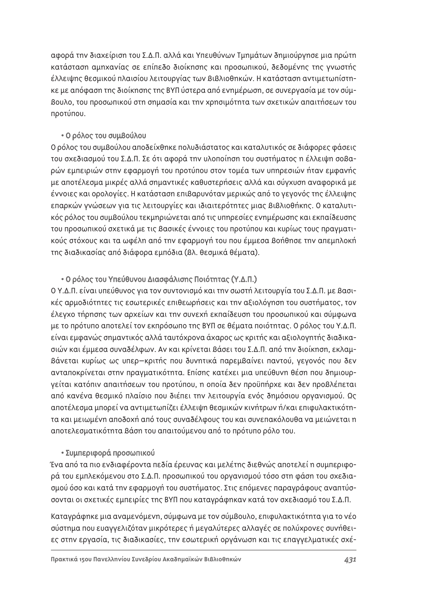αφορά την διαχείριση του Σ.Δ.Π. αλλά και Υπευθύνων Τμημάτων δημιούργησε μια πρώτη κατάσταση αμηχανίας σε επίπεδο διοίκησης και προσωπικού, δεδομένης της γνωστής έλλειψης θεσμικού πλαισίου λειτουργίας των Βιβλιοθηκών. Η κατάσταση αντιμετωπίστηκε με απόφαση της διοίκησης της ΒΥΠ ύστερα από ενημέρωση, σε συνερνασία με τον σύμ-Βουλο, του προσωπικού στη σημασία και την χρησιμότητα των σχετικών απαιτήσεων του προτύπου.

### • Ο ρόλος του συμβούλου

Ο ρόλος του συμβούλου αποδείχθηκε πολυδιάστατος και καταλυτικός σε διάφορες φάσεις του σχεδιασμού του Σ.Δ.Π. Σε ότι αφορά την υλοποίηση του συστήματος η έλλειψη σοβαρών εμπειριών στην εφαρμογή του προτύπου στον τομέα των υπηρεσιών ήταν εμφανής με αποτέλεσμα μικρές αλλά σημαντικές καθυστερήσεις αλλά και σύγχυση αναφορικά με έννοιες και ορολογίες. Η κατάσταση επιβαρυνόταν μερικώς από το γεγονός της έλλειψης επαρκών γνώσεων για τις λειτουργίες και ιδιαιτερότητες μιας Βιβλιοθήκης. Ο καταλυτικός ρόλος του συμβούλου τεκμηριώνεται από τις υπηρεσίες ενημέρωσης και εκπαίδευσης του προσωπικού σχετικά με τις βασικές έννοιες του προτύπου και κυρίως τους πραγματικούς στόχους και τα ωφέλη από την εφαρμογή του που έμμεσα βοήθησε την απεμπλοκή της διαδικασίας από διάφορα εμπόδια (Βλ. θεσμικά θέματα).

## • Ο ρόλος του Υπεύθυνου Διασφάλισης Ποιότητας (Υ.Δ.Π.)

Ο Υ.Δ.Π. είναι υπεύθυνος για τον συντονισμό και την σωστή λειτουργία του Σ.Δ.Π. με βασικές αρμοδιότητες τις εσωτερικές επιθεωρήσεις και την αξιολόγηση του συστήματος, τον έλεγχο τήρησης των αρχείων και την συνεχή εκπαίδευση του προσωπικού και σύμφωνα με το πρότυπο αποτελεί τον εκπρόσωπο της ΒΥΠ σε θέματα ποιότητας. Ο ρόλος του Υ.Δ.Π. είναι εμφανώς σημαντικός αλλά ταυτόχρονα άχαρος ως κριτής και αξιολογητής διαδικασιών και έμμεσα συναδέλφων. Αν και κρίνεται βάσει του Σ.Δ.Π. από την διοίκηση, εκλαμ-Βάνεται κυρίως ως υπερ-κριτής που δυνητικά παρεμβαίνει παντού, γεγονός που δεν ανταποκρίνεται στην πραγματικότητα. Επίσης κατέχει μια υπεύθυνη θέση που δημιουργείται κατόπιν απαιτήσεων του προτύπου, η οποία δεν προϋπήρχε και δεν προβλέπεται από κανένα θεσμικό πλαίσιο που διέπει την λειτουργία ενός δημόσιου οργανισμού. Ως αποτέλεσμα μπορεί να αντιμετωπίζει έλλειψη θεσμικών κινήτρων ή/και επιφυλακτικότητα και μειωμένη αποδοχή από τους συναδέλφους του και συνεπακόλουθα να μειώνεται η αποτελεσματικότητα βάση του απαιτούμενου από το πρότυπο ρόλο του.

#### • Συμπεριφορά προσωπικού

Ένα από τα πιο ενδιαφέροντα πεδία έρευνας και μελέτης διεθνώς αποτελεί η συμπεριφορά του εμπλεκόμενου στο Σ.Δ.Π. προσωπικού του οργανισμού τόσο στη φάση του σχεδιασμού όσο και κατά την εφαρμογή του συστήματος. Στις επόμενες παραγράφους αναπτύσσονται οι σχετικές εμπειρίες της ΒΥΠ που καταγράφηκαν κατά τον σχεδιασμό του Σ.Δ.Π.

Καταγράφηκε μια αναμενόμενη, σύμφωνα με τον σύμβουλο, επιφυλακτικότητα για το νέο σύστημα που ευαγγελιζόταν μικρότερες ή μεγαλύτερες αλλαγές σε πολύχρονες συνήθειες στην εργασία, τις διαδικασίες, την εσωτερική οργάνωση και τις επαγγελματικές σχέ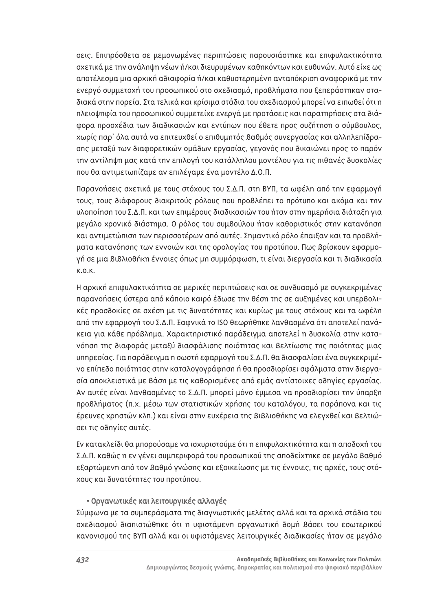σεις. Επιπρόσθετα σε μεμονωμένες περιπτώσεις παρουσιάστηκε και επιφυλακτικότητα σχετικά με την ανάληψη νέων ή/και διευρυμένων καθηκόντων και ευθυνών. Αυτό είχε ως αποτέλεσμα μια αρχική αδιαφορία ή/και καθυστερημένη ανταπόκριση αναφορικά με την ενεργό συμμετοχή του προσωπικού στο σχεδιασμό, προβλήματα που ξεπεράστηκαν σταδιακά στην πορεία. Στα τελικά και κρίσιμα στάδια του σχεδιασμού μπορεί να ειπωθεί ότι η πλειοψηφία του προσωπικού συμμετείχε ενεργά με προτάσεις και παρατηρήσεις στα διάφορα προσχέδια των διαδικασιών και εντύπων που έθετε προς συζήτηση ο σύμβουλος, χωρίς παρ' όλα αυτά να επιτευχθεί ο επιθυμητός βαθμός συνεργασίας και αλληλεπίδρασης μεταξύ των διαφορετικών ομάδων εργασίας, γεγονός που δικαιώνει προς το παρόν την αντίληψη μας κατά την επιλονή του κατάλληλου μοντέλου νια τις πιθανές δυσκολίες που θα αντιμετωπίζαμε αν επιλέγαμε ένα μοντέλο Δ.Ο.Π.

Παρανοήσεις σχετικά με τους στόχους του Σ.Δ.Π. στη ΒΥΠ, τα ωφέλη από την εφαρμογή τους, τους διάφορους διακριτούς ρόλους που προβλέπει το πρότυπο και ακόμα και την υλοποίηση του Σ.Δ.Π. και των επιμέρους διαδικασιών του ήταν στην ημερήσια διάταξη για μεγάλο χρονικό διάστημα. Ο ρόλος του συμβούλου ήταν καθοριστικός στην κατανόηση και αντιμετώπιση των περισσοτέρων από αυτές. Σημαντικό ρόλο έπαιξαν και τα προβλήματα κατανόησης των εννοιών και της ορολογίας του προτύπου. Πως βρίσκουν εφαρμογή σε μια Βιβλιοθήκη έννοιες όπως μη συμμόρφωση, τι είναι διεργασία και τι διαδικασία  $K.0.K.$ 

Η αρχική επιφυλακτικότητα σε μερικές περιπτώσεις και σε συνδυασμό με συγκεκριμένες παρανοήσεις ύστερα από κάποιο καιρό έδωσε την θέση της σε αυξημένες και υπερβολικές προσδοκίες σε σχέση με τις δυνατότητες και κυρίως με τους στόχους και τα ωφέλη από την εφαρμογή του Σ.Δ.Π. <del>Ι</del>αφνικά το ISO θεωρήθηκε λανθασμένα ότι αποτελεί πανάκεια για κάθε πρόβλημα. Χαρακτηριστικό παράδειγμα αποτελεί η δυσκολία στην κατανόηση της διαφοράς μεταξύ διασφάλισης ποιότητας και βελτίωσης της ποιότητας μιας υπηρεσίας. Για παράδειγμα η σωστή εφαρμογή του Σ.Δ.Π. θα διασφαλίσει ένα συγκεκριμένο επίπεδο ποιότητας στην καταλογογράφηση ή θα προσδιορίσει σφάλματα στην διεργασία αποκλειστικά με βάση με τις καθορισμένες από εμάς αντίστοιχες οδηγίες εργασίας. Αν αυτές είναι λανθασμένες το Σ.Δ.Π. μπορεί μόνο έμμεσα να προσδιορίσει την ύπαρξη προβλήματος (π.χ. μέσω των στατιστικών χρήσης του καταλόγου, τα παράπονα και τις έρευνες χρηστών κλπ.) και είναι στην ευχέρεια της Βιβλιοθήκης να ελεγχθεί και βελτιώσει τις οδηγίες αυτές.

Εν κατακλείδι θα μπορούσαμε να ισχυριστούμε ότι η επιφυλακτικότητα και η αποδοχή του Σ.Δ.Π. καθώς η εν γένει συμπεριφορά του προσωπικού της αποδείχτηκε σε μεγάλο βαθμό εξαρτώμενη από τον Βαθμό γνώσης και εξοικείωσης με τις έννοιες, τις αρχές, τους στόχους και δυνατότητες του προτύπου.

#### • Οργανωτικές και λειτουργικές αλλαγές

Σύμφωνα με τα συμπεράσματα της διαγνωστικής μελέτης αλλά και τα αρχικά στάδια του σχεδιασμού διαπιστώθηκε ότι η υφιστάμενη οργανωτική δομή βάσει του εσωτερικού κανονισμού της ΒΥΠ αλλά και οι υφιστάμενες λειτουργικές διαδικασίες ήταν σε μεγάλο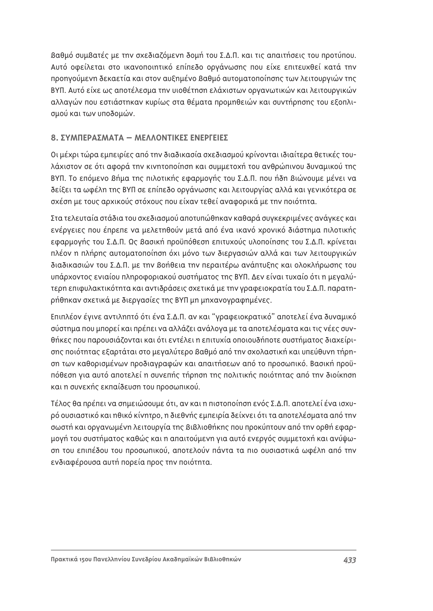$\beta$ αθμό συμβατές με την σχεδιαζόμενη δομή του Σ.Δ.Π. και τις απαιτήσεις του προτύπου. Αυτό οφείλεται στο ικανοποιητικό επίπεδο οργάνωσης που είχε επιτευχθεί κατά την προηγούμενη δεκαετία και στον αυξημένο Βαθμό αυτοματοποίησης των λειτουργιών της ΒΥΠ. Αυτό είχε ως αποτέλεσμα την υιοθέτηση ελάχιστων ορνανωτικών και λειτουργικών αλλαγών που εστιάστηκαν κυρίως στα θέματα προμηθειών και συντήρησης του εξοπλισμού και των υποδομών.

## **8. ΣΥΜΠΕΡΔΣΜΑΤΑ – ΜΕΛΛΟΝΤΙΚΕΣ ΕΝΕΡΓΕΙΕΣ**

Οι μέχρι τώρα εμπειρίες από την διαδικασία σχεδιασμού κρίνονται ιδιαίτερα θετικές τουλάχιστον σε ότι αφορά την κινητοποίηση και συμμετοχή του ανθρώπινου δυναμικού της BYΠ. Το επόμενο βήμα της πιλοτικής εφαρμογής του Σ.Δ.Π. που ήδη βιώνουμε μένει να δείξει τα ωφέλη της BYΠ σε επίπεδο οργάνωσης και λειτουργίας αλλά και γενικότερα σε σχέση με τους αρχικούς στόχους που είχαν τεθεί αναφορικά με την ποιότητα.

Στα τελευταία στάδια του σχεδιασμού αποτυπώθηκαν καθαρά συγκεκριμένες ανάγκες και ενέργειες που έπρεπε να μελετηθούν μετά από ένα ικανό χρονικό διάστημα πιλοτικής εφαρμογής του Σ.Δ.Π. Ως Βασική προϋπόθεση επιτυχούς υλοποίησης του Σ.Δ.Π. κρίνεται πλέον η πλήρης αυτοματοποίηση όχι μόνο των διεργασιών αλλά και των λειτουργικών διαδικασιών του Σ.Δ.Π. με την βοήθεια την περαιτέρω ανάπτυξης και ολοκλήρωσης του υπάρχοντος ενιαίου πληροφοριακού συστήματος της ΒΥΠ. Δεν είναι τυχαίο ότι η μεγαλύτερη επιφυλακτικότητα και αντιδράσεις σχετικά με την γραφειοκρατία του Σ.Δ.Π. παρατηpήθηκαν σχετικά με διεργασίες της ΒΥΠ μη μηχανογραφημένες.

Επιπλέον έγινε αντιληπτό ότι ένα Σ.Δ.Π. αν και "γραφειοκρατικό" αποτελεί ένα δυναμικό ούστημα που μπορεί και πρέπει να αλλάζει ανάλογα με τα αποτελέσματα και τις νέες συνθήκες που παρουσιάζονται και ότι εντέλει η επιτυχία οποιουδήποτε συστήματος διαχείριonς ποιότητας εξαρτάται στο μεγαλύτερο βαθμό από την σχολαστική και υπεύθυνη τήρηση των καθορισμένων προδιαγραφών και απαιτήσεων από το προσωπικό. Βασική προϋπόθεση για αυτό αποτελεί η συνεπής τήρηση της πολιτικής ποιότητας από την διοίκηση και η συνεχής εκπαίδευση του προσωπικού.

Τέλος θα πρέπει να σημειώσουμε ότι, αν και η πιστοποίηση ενός Σ.Δ.Π. αποτελεί ένα ισχυρό ουσιαστικό και ηθικό κίνητρο, η διεθνής εμπειρία δείχνει ότι τα αποτελέσματα από την σωστή και οργανωμένη λειτουργία της Βιβλιοθήκης που προκύπτουν από την ορθή εφαρμογή του συστήματος καθώς και η απαιτούμενη για αυτό ενεργός συμμετοχή και ανύψωση του επιπέδου του προσωπικού, αποτελούν πάντα τα πιο ουσιαστικά ωφέλη από την ενδιαφέρουσα αυτή πορεία προς την ποιότητα.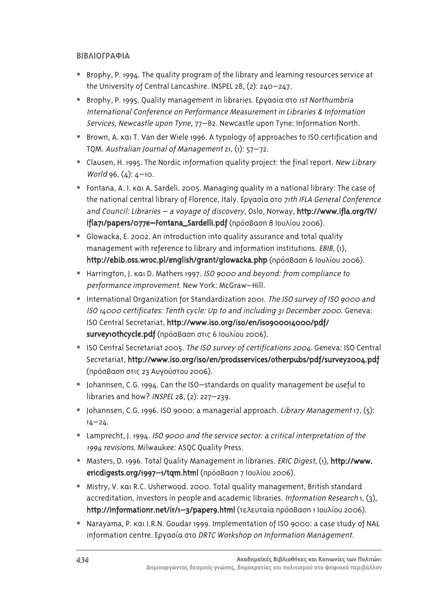## *BIBAIOFPAΦΙΑ*

- Brophy, P. 1994. The quality program of the library and learning resources service at the University of Central Lancashire. INSPEL 28, (2): 240–247.
- Brophy, P. 1995. Quality management in libraries. Εργασία στο 1st Northumbria International Conference on Performance Measurement in Libraries & Information Services, Newcastle upon Tyne, 77–82. Newcastle upon Tyne: Information North.
- Brown, A. kai T. Van der Wiele 1996. A typology of approaches to ISO certification and TQM. Australian Journal of Management 21, (1): 57–72.
- Clausen, H. 1995. The Nordic information quality project: the final report. New Library World 96, (4): 4–10.
- Fontana, A. I.  $k$ ai A. Sardeli. 2005. Managing quality in a national library: The case of the national central library of Florence, Italy. Εργασία στο 71th IFLA General Conference and Council: Libraries – a voyage of discovery, Oslo, Norway, http://www.ifla.org/IV/ ifla71/papers/077e-Fontana\_Sardelli.pdf (πρόσβαση 8 Ιουλίου 2006).
- Glowacka, E. 2002. An introduction into quality assurance and total quality management with reference to library and information institutions. EBIB, (1), http://ebib.oss.wroc.pl/english/grant/glowacka.php (πρόσβαση 6 Ιουλίου 2006).
- Harrington, J. Kgt D. Mathers 1997. ISO 9000 and beyond: from compliance to performance improvement. New York: McGraw–Hill.
- International Organization for Standardization 2001. The ISO survey of ISO 9000 and ISO 14000 certificates: Tenth cycle: Up to and including 31 December 2000. Geneva: ISO Central Secretariat, http://www.iso.org/iso/en/iso900014000/pdf/ survey1othcycle.pdf (πρόσβαση στις 6 Ιουλίου 2006).
- ISO Central Secretariat 2005. The ISO survey of certifications 2004. Geneva: ISO Central Secretariat, http://www.iso.org/iso/en/prodsservices/otherpubs/pdf/survey2004.pdf (πρόσβαση στις 23 Αυγούστου 2006).
- Johannsen, C.G. 1994. Can the ISO-standards on quality management be useful to libraries and how? INSPEL 28, (2): 227–239.
- I Johannsen, C.G. 1996. ISO 9000: a managerial approach. Library Management 17, (5):  $14 - 24.$
- Lamprecht, J. 1994. ISO 9000 and the service sector: a critical interpretation of the 1994 revisions. Milwaukee: ASQC Quality Press.
- Masters, D. 1996. Total Quality Management in libraries. ERIC Digest, (1), http://www. ericdigests.org/1997-1/tqm.html (πρόσβαση 7 Ιουλίου 2006).
- Mistry, V. Kal R.C. Usherwood. 2000. Total quality management, British standard accreditation, investors in people and academic libraries. Information Research 1, (3), http://informationr.net/ir/1-3/paper9.html (τελευταία πρόσβαση 1 Ιουλίου 2006).
- Narayama, P. Kg(I.R.N. Goudar 1999. Implementation of ISO 9000: a case study of NAL information centre. Εργασία στο DRTC Workshop on Information Management.